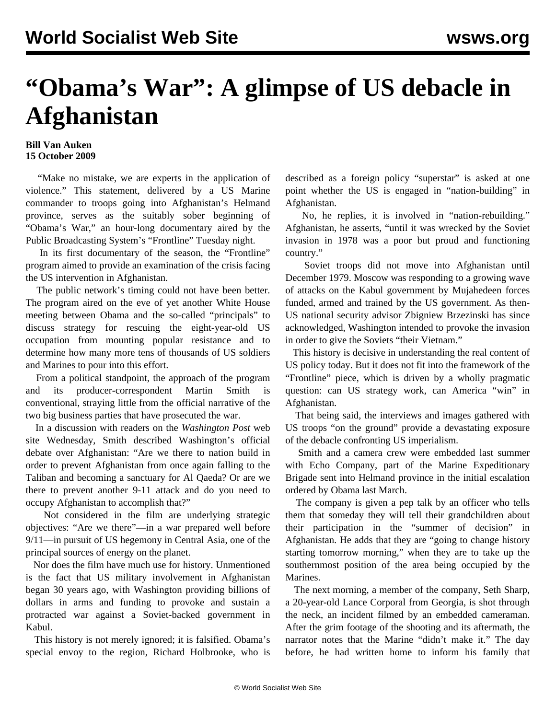## **"Obama's War": A glimpse of US debacle in Afghanistan**

## **Bill Van Auken 15 October 2009**

 "Make no mistake, we are experts in the application of violence." This statement, delivered by a US Marine commander to troops going into Afghanistan's Helmand province, serves as the suitably sober beginning of "Obama's War," an hour-long documentary aired by the Public Broadcasting System's "Frontline" Tuesday night.

 In its first documentary of the season, the "Frontline" program aimed to provide an examination of the crisis facing the US intervention in Afghanistan.

 The public network's timing could not have been better. The program aired on the eve of yet another White House meeting between Obama and the so-called "principals" to discuss strategy for rescuing the eight-year-old US occupation from mounting popular resistance and to determine how many more tens of thousands of US soldiers and Marines to pour into this effort.

 From a political standpoint, the approach of the program and its producer-correspondent Martin Smith is conventional, straying little from the official narrative of the two big business parties that have prosecuted the war.

 In a discussion with readers on the *Washington Post* web site Wednesday, Smith described Washington's official debate over Afghanistan: "Are we there to nation build in order to prevent Afghanistan from once again falling to the Taliban and becoming a sanctuary for Al Qaeda? Or are we there to prevent another 9-11 attack and do you need to occupy Afghanistan to accomplish that?"

 Not considered in the film are underlying strategic objectives: "Are we there"—in a war prepared well before 9/11—in pursuit of US hegemony in Central Asia, one of the principal sources of energy on the planet.

 Nor does the film have much use for history. Unmentioned is the fact that US military involvement in Afghanistan began 30 years ago, with Washington providing billions of dollars in arms and funding to provoke and sustain a protracted war against a Soviet-backed government in Kabul.

 This history is not merely ignored; it is falsified. Obama's special envoy to the region, Richard Holbrooke, who is described as a foreign policy "superstar" is asked at one point whether the US is engaged in "nation-building" in Afghanistan.

 No, he replies, it is involved in "nation-rebuilding." Afghanistan, he asserts, "until it was wrecked by the Soviet invasion in 1978 was a poor but proud and functioning country."

 Soviet troops did not move into Afghanistan until December 1979. Moscow was responding to a growing wave of attacks on the Kabul government by Mujahedeen forces funded, armed and trained by the US government. As then-US national security advisor Zbigniew Brzezinski has since acknowledged, Washington intended to provoke the invasion in order to give the Soviets "their Vietnam."

 This history is decisive in understanding the real content of US policy today. But it does not fit into the framework of the "Frontline" piece, which is driven by a wholly pragmatic question: can US strategy work, can America "win" in Afghanistan.

 That being said, the interviews and images gathered with US troops "on the ground" provide a devastating exposure of the debacle confronting US imperialism.

 Smith and a camera crew were embedded last summer with Echo Company, part of the Marine Expeditionary Brigade sent into Helmand province in the initial escalation ordered by Obama last March.

 The company is given a pep talk by an officer who tells them that someday they will tell their grandchildren about their participation in the "summer of decision" in Afghanistan. He adds that they are "going to change history starting tomorrow morning," when they are to take up the southernmost position of the area being occupied by the Marines.

 The next morning, a member of the company, Seth Sharp, a 20-year-old Lance Corporal from Georgia, is shot through the neck, an incident filmed by an embedded cameraman. After the grim footage of the shooting and its aftermath, the narrator notes that the Marine "didn't make it." The day before, he had written home to inform his family that